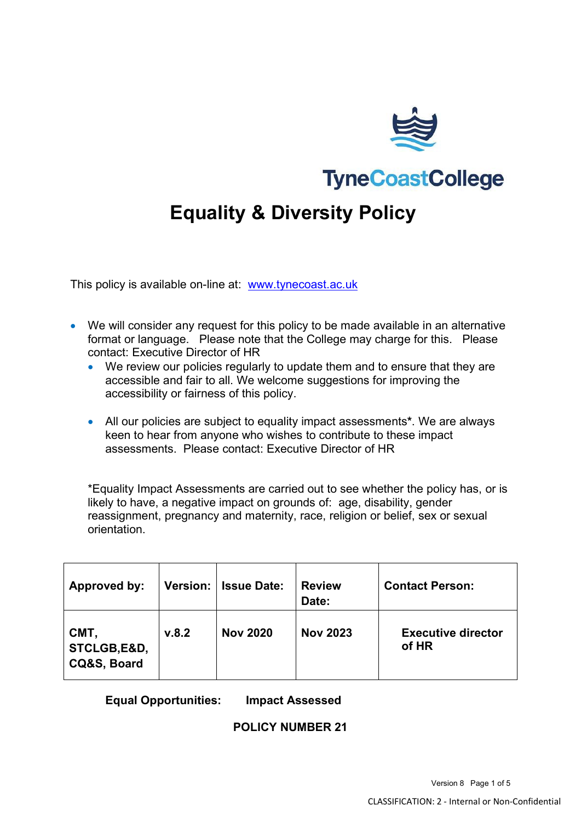

**TyneCoastCollege** 

# **Equality & Diversity Policy**

This policy is available on-line at: [www.tynecoast.ac.uk](http://www.tynecoast.ac.uk/)

- We will consider any request for this policy to be made available in an alternative format or language. Please note that the College may charge for this. Please contact: Executive Director of HR
	- We review our policies regularly to update them and to ensure that they are accessible and fair to all. We welcome suggestions for improving the accessibility or fairness of this policy.
	- All our policies are subject to equality impact assessments**\***. We are always keen to hear from anyone who wishes to contribute to these impact assessments. Please contact: Executive Director of HR

\*Equality Impact Assessments are carried out to see whether the policy has, or is likely to have, a negative impact on grounds of: age, disability, gender reassignment, pregnancy and maternity, race, religion or belief, sex or sexual orientation.

| <b>Approved by:</b>                |       | Version:   Issue Date: | <b>Review</b><br>Date: | <b>Contact Person:</b>             |
|------------------------------------|-------|------------------------|------------------------|------------------------------------|
| CMT,<br>STCLGB,E&D,<br>CQ&S, Board | v.8.2 | <b>Nov 2020</b>        | <b>Nov 2023</b>        | <b>Executive director</b><br>of HR |

**Equal Opportunities: Impact Assessed**

#### **POLICY NUMBER 21**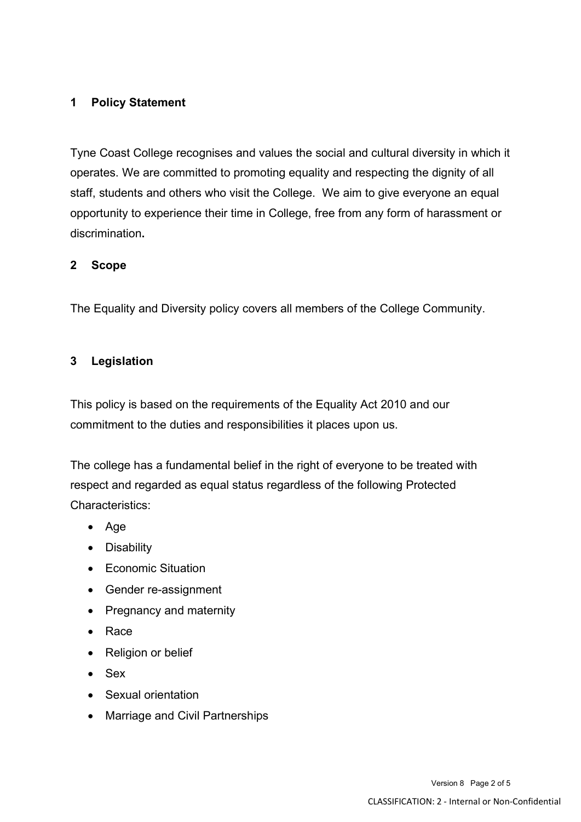# **1 Policy Statement**

Tyne Coast College recognises and values the social and cultural diversity in which it operates. We are committed to promoting equality and respecting the dignity of all staff, students and others who visit the College. We aim to give everyone an equal opportunity to experience their time in College, free from any form of harassment or discrimination**.**

#### **2 Scope**

The Equality and Diversity policy covers all members of the College Community.

#### **3 Legislation**

This policy is based on the requirements of the Equality Act 2010 and our commitment to the duties and responsibilities it places upon us.

The college has a fundamental belief in the right of everyone to be treated with respect and regarded as equal status regardless of the following Protected Characteristics:

- Age
- Disability
- Economic Situation
- Gender re-assignment
- Pregnancy and maternity
- Race
- Religion or belief
- Sex
- Sexual orientation
- Marriage and Civil Partnerships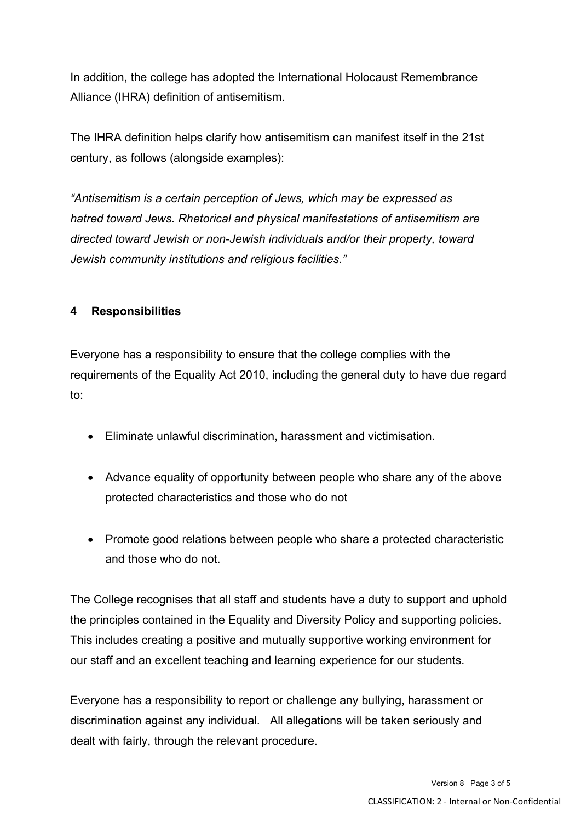In addition, the college has adopted the International Holocaust Remembrance Alliance (IHRA) definition of antisemitism.

The IHRA definition helps clarify how antisemitism can manifest itself in the 21st century, as follows (alongside examples):

*"Antisemitism is a certain perception of Jews, which may be expressed as hatred toward Jews. Rhetorical and physical manifestations of antisemitism are directed toward Jewish or non-Jewish individuals and/or their property, toward Jewish community institutions and religious facilities."* 

## **4 Responsibilities**

Everyone has a responsibility to ensure that the college complies with the requirements of the Equality Act 2010, including the general duty to have due regard to:

- Eliminate unlawful discrimination, harassment and victimisation.
- Advance equality of opportunity between people who share any of the above protected characteristics and those who do not
- Promote good relations between people who share a protected characteristic and those who do not.

The College recognises that all staff and students have a duty to support and uphold the principles contained in the Equality and Diversity Policy and supporting policies. This includes creating a positive and mutually supportive working environment for our staff and an excellent teaching and learning experience for our students.

Everyone has a responsibility to report or challenge any bullying, harassment or discrimination against any individual. All allegations will be taken seriously and dealt with fairly, through the relevant procedure.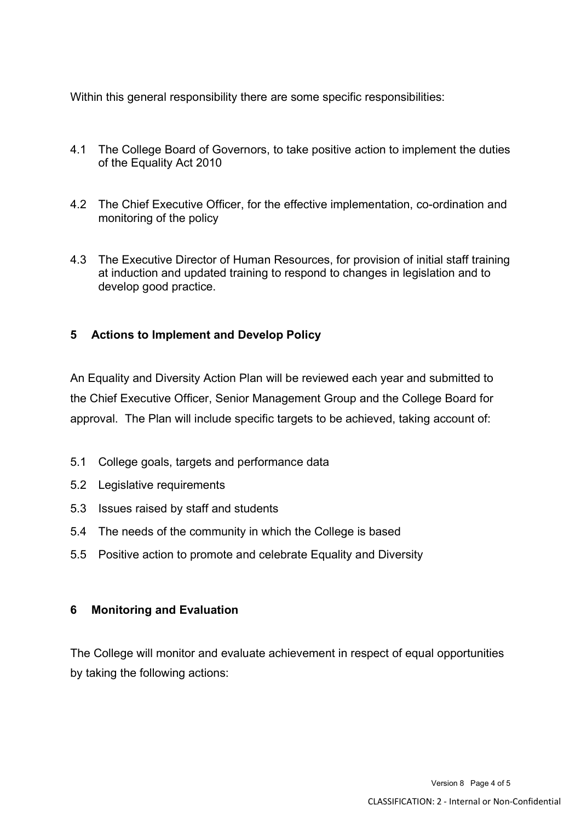Within this general responsibility there are some specific responsibilities:

- 4.1 The College Board of Governors, to take positive action to implement the duties of the Equality Act 2010
- 4.2 The Chief Executive Officer, for the effective implementation, co-ordination and monitoring of the policy
- 4.3 The Executive Director of Human Resources, for provision of initial staff training at induction and updated training to respond to changes in legislation and to develop good practice.

## **5 Actions to Implement and Develop Policy**

An Equality and Diversity Action Plan will be reviewed each year and submitted to the Chief Executive Officer, Senior Management Group and the College Board for approval. The Plan will include specific targets to be achieved, taking account of:

- 5.1 College goals, targets and performance data
- 5.2 Legislative requirements
- 5.3 Issues raised by staff and students
- 5.4 The needs of the community in which the College is based
- 5.5 Positive action to promote and celebrate Equality and Diversity

## **6 Monitoring and Evaluation**

The College will monitor and evaluate achievement in respect of equal opportunities by taking the following actions: